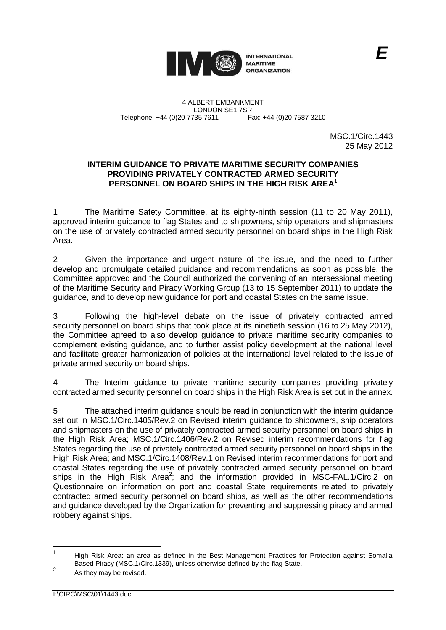

4 ALBERT EMBANKMENT LONDON SE1 7SR Telephone: +44 (0)20 7735 7611 Fax: +44 (0)20 7587 3210

MSC.1/Circ.1443 25 May 2012

### **INTERIM GUIDANCE TO PRIVATE MARITIME SECURITY COMPANIES PROVIDING PRIVATELY CONTRACTED ARMED SECURITY PERSONNEL ON BOARD SHIPS IN THE HIGH RISK AREA**<sup>1</sup>

1 The Maritime Safety Committee, at its eighty-ninth session (11 to 20 May 2011), approved interim guidance to flag States and to shipowners, ship operators and shipmasters on the use of privately contracted armed security personnel on board ships in the High Risk Area.

2 Given the importance and urgent nature of the issue, and the need to further develop and promulgate detailed guidance and recommendations as soon as possible, the Committee approved and the Council authorized the convening of an intersessional meeting of the Maritime Security and Piracy Working Group (13 to 15 September 2011) to update the guidance, and to develop new guidance for port and coastal States on the same issue.

3 Following the high-level debate on the issue of privately contracted armed security personnel on board ships that took place at its ninetieth session (16 to 25 May 2012), the Committee agreed to also develop guidance to private maritime security companies to complement existing guidance, and to further assist policy development at the national level and facilitate greater harmonization of policies at the international level related to the issue of private armed security on board ships.

4 The Interim guidance to private maritime security companies providing privately contracted armed security personnel on board ships in the High Risk Area is set out in the annex.

5 The attached interim guidance should be read in conjunction with the interim guidance set out in MSC.1/Circ.1405/Rev.2 on Revised interim guidance to shipowners, ship operators and shipmasters on the use of privately contracted armed security personnel on board ships in the High Risk Area; MSC.1/Circ.1406/Rev.2 on Revised interim recommendations for flag States regarding the use of privately contracted armed security personnel on board ships in the High Risk Area; and MSC.1/Circ.1408/Rev.1 on Revised interim recommendations for port and coastal States regarding the use of privately contracted armed security personnel on board ships in the High Risk Area<sup>2</sup>; and the information provided in MSC-FAL.1/Circ.2 on Questionnaire on information on port and coastal State requirements related to privately contracted armed security personnel on board ships, as well as the other recommendations and guidance developed by the Organization for preventing and suppressing piracy and armed robbery against ships.

 $\frac{1}{1}$ High Risk Area: an area as defined in the Best Management Practices for Protection against Somalia Based Piracy (MSC.1/Circ.1339), unless otherwise defined by the flag State.  $\overline{2}$ 

As they may be revised.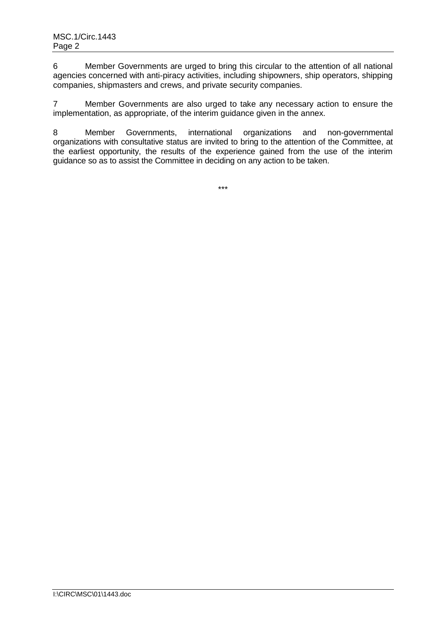6 Member Governments are urged to bring this circular to the attention of all national agencies concerned with anti-piracy activities, including shipowners, ship operators, shipping companies, shipmasters and crews, and private security companies.

7 Member Governments are also urged to take any necessary action to ensure the implementation, as appropriate, of the interim guidance given in the annex.

8 Member Governments, international organizations and non-governmental organizations with consultative status are invited to bring to the attention of the Committee, at the earliest opportunity, the results of the experience gained from the use of the interim guidance so as to assist the Committee in deciding on any action to be taken.

\*\*\*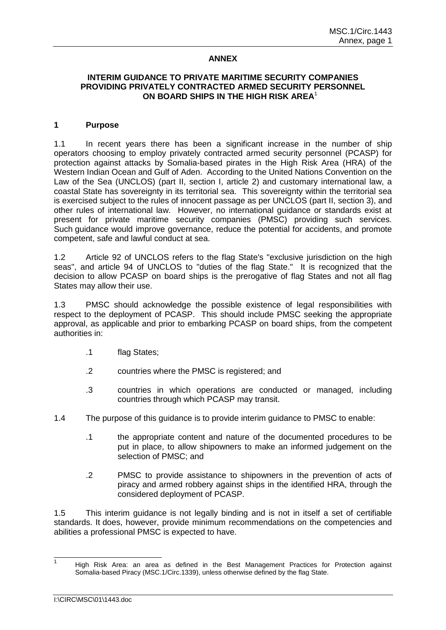### **ANNEX**

#### **INTERIM GUIDANCE TO PRIVATE MARITIME SECURITY COMPANIES PROVIDING PRIVATELY CONTRACTED ARMED SECURITY PERSONNEL ON BOARD SHIPS IN THE HIGH RISK AREA**<sup>1</sup>

#### **1 Purpose**

1.1 In recent years there has been a significant increase in the number of ship operators choosing to employ privately contracted armed security personnel (PCASP) for protection against attacks by Somalia-based pirates in the High Risk Area (HRA) of the Western Indian Ocean and Gulf of Aden. According to the United Nations Convention on the Law of the Sea (UNCLOS) (part II, section I, article 2) and customary international law, a coastal State has sovereignty in its territorial sea. This sovereignty within the territorial sea is exercised subject to the rules of innocent passage as per UNCLOS (part II, section 3), and other rules of international law. However, no international guidance or standards exist at present for private maritime security companies (PMSC) providing such services. Such guidance would improve governance, reduce the potential for accidents, and promote competent, safe and lawful conduct at sea.

1.2 Article 92 of UNCLOS refers to the flag State's "exclusive jurisdiction on the high seas", and article 94 of UNCLOS to "duties of the flag State." It is recognized that the decision to allow PCASP on board ships is the prerogative of flag States and not all flag States may allow their use.

1.3 PMSC should acknowledge the possible existence of legal responsibilities with respect to the deployment of PCASP. This should include PMSC seeking the appropriate approval, as applicable and prior to embarking PCASP on board ships, from the competent authorities in:

- .1 flag States;
- .2 countries where the PMSC is registered; and
- .3 countries in which operations are conducted or managed, including countries through which PCASP may transit.
- 1.4 The purpose of this guidance is to provide interim guidance to PMSC to enable:
	- .1 the appropriate content and nature of the documented procedures to be put in place, to allow shipowners to make an informed judgement on the selection of PMSC; and
	- .2 PMSC to provide assistance to shipowners in the prevention of acts of piracy and armed robbery against ships in the identified HRA, through the considered deployment of PCASP.

1.5 This interim guidance is not legally binding and is not in itself a set of certifiable standards. It does, however, provide minimum recommendations on the competencies and abilities a professional PMSC is expected to have.

 $\frac{1}{1}$ High Risk Area: an area as defined in the Best Management Practices for Protection against Somalia-based Piracy (MSC.1/Circ.1339), unless otherwise defined by the flag State.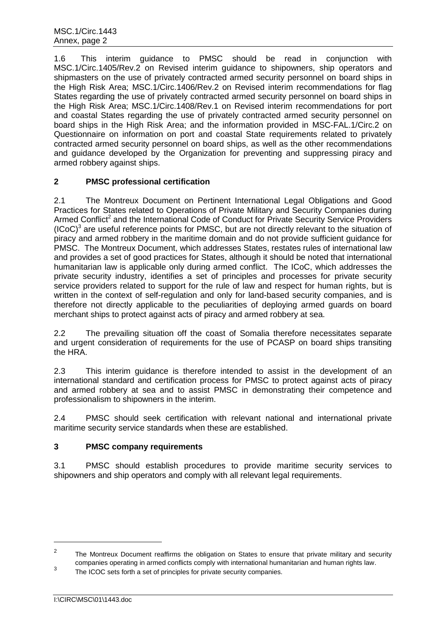1.6 This interim guidance to PMSC should be read in conjunction with MSC.1/Circ.1405/Rev.2 on Revised interim guidance to shipowners, ship operators and shipmasters on the use of privately contracted armed security personnel on board ships in the High Risk Area; MSC.1/Circ.1406/Rev.2 on Revised interim recommendations for flag States regarding the use of privately contracted armed security personnel on board ships in the High Risk Area; MSC.1/Circ.1408/Rev.1 on Revised interim recommendations for port and coastal States regarding the use of privately contracted armed security personnel on board ships in the High Risk Area; and the information provided in MSC-FAL.1/Circ.2 on Questionnaire on information on port and coastal State requirements related to privately contracted armed security personnel on board ships, as well as the other recommendations and guidance developed by the Organization for preventing and suppressing piracy and armed robbery against ships.

# **2 PMSC professional certification**

2.1 The Montreux Document on Pertinent International Legal Obligations and Good Practices for States related to Operations of Private Military and Security Companies during Armed Conflict<sup>2</sup> and the International Code of Conduct for Private Security Service Providers  $(ICoC)^3$  are useful reference points for PMSC, but are not directly relevant to the situation of piracy and armed robbery in the maritime domain and do not provide sufficient guidance for PMSC. The Montreux Document, which addresses States, restates rules of international law and provides a set of good practices for States, although it should be noted that international humanitarian law is applicable only during armed conflict. The ICoC, which addresses the private security industry, identifies a set of principles and processes for private security service providers related to support for the rule of law and respect for human rights, but is written in the context of self-regulation and only for land-based security companies, and is therefore not directly applicable to the peculiarities of deploying armed guards on board merchant ships to protect against acts of piracy and armed robbery at sea.

2.2 The prevailing situation off the coast of Somalia therefore necessitates separate and urgent consideration of requirements for the use of PCASP on board ships transiting the HRA.

2.3 This interim guidance is therefore intended to assist in the development of an international standard and certification process for PMSC to protect against acts of piracy and armed robbery at sea and to assist PMSC in demonstrating their competence and professionalism to shipowners in the interim.

2.4 PMSC should seek certification with relevant national and international private maritime security service standards when these are established.

# **3 PMSC company requirements**

3.1 PMSC should establish procedures to provide maritime security services to shipowners and ship operators and comply with all relevant legal requirements.

-

<sup>2</sup> The Montreux Document reaffirms the obligation on States to ensure that private military and security companies operating in armed conflicts comply with international humanitarian and human rights law. 3

The ICOC sets forth a set of principles for private security companies.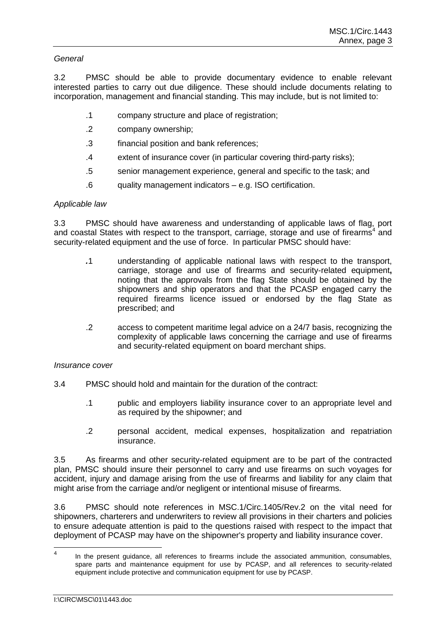# *General*

3.2 PMSC should be able to provide documentary evidence to enable relevant interested parties to carry out due diligence. These should include documents relating to incorporation, management and financial standing. This may include, but is not limited to:

- .1 company structure and place of registration;
- .2 company ownership;
- .3 financial position and bank references;
- .4 extent of insurance cover (in particular covering third-party risks);
- .5 senior management experience, general and specific to the task; and
- .6 quality management indicators e.g. ISO certification.

# *Applicable law*

3.3 PMSC should have awareness and understanding of applicable laws of flag, port and coastal States with respect to the transport, carriage, storage and use of firearms<sup>4</sup> and security-related equipment and the use of force. In particular PMSC should have:

- *.*1 understanding of applicable national laws with respect to the transport, carriage, storage and use of firearms and security-related equipment**,** noting that the approvals from the flag State should be obtained by the shipowners and ship operators and that the PCASP engaged carry the required firearms licence issued or endorsed by the flag State as prescribed; and
- .2 access to competent maritime legal advice on a 24/7 basis, recognizing the complexity of applicable laws concerning the carriage and use of firearms and security-related equipment on board merchant ships.

# *Insurance cover*

- 3.4 PMSC should hold and maintain for the duration of the contract:
	- .1 public and employers liability insurance cover to an appropriate level and as required by the shipowner; and
	- .2 personal accident, medical expenses, hospitalization and repatriation insurance.

3.5 As firearms and other security-related equipment are to be part of the contracted plan, PMSC should insure their personnel to carry and use firearms on such voyages for accident, injury and damage arising from the use of firearms and liability for any claim that might arise from the carriage and/or negligent or intentional misuse of firearms.

3.6 PMSC should note references in MSC.1/Circ.1405/Rev.2 on the vital need for shipowners, charterers and underwriters to review all provisions in their charters and policies to ensure adequate attention is paid to the questions raised with respect to the impact that deployment of PCASP may have on the shipowner's property and liability insurance cover.

 $\frac{1}{4}$ In the present guidance, all references to firearms include the associated ammunition, consumables, spare parts and maintenance equipment for use by PCASP, and all references to security-related equipment include protective and communication equipment for use by PCASP.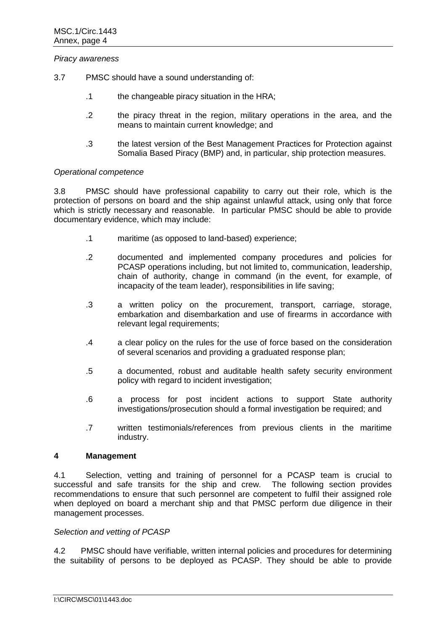#### *Piracy awareness*

- 3.7 PMSC should have a sound understanding of:
	- .1 the changeable piracy situation in the HRA;
	- .2 the piracy threat in the region, military operations in the area, and the means to maintain current knowledge; and
	- .3 the latest version of the Best Management Practices for Protection against Somalia Based Piracy (BMP) and, in particular, ship protection measures.

### *Operational competence*

3.8 PMSC should have professional capability to carry out their role, which is the protection of persons on board and the ship against unlawful attack, using only that force which is strictly necessary and reasonable. In particular PMSC should be able to provide documentary evidence, which may include:

- .1 maritime (as opposed to land-based) experience;
- .2 documented and implemented company procedures and policies for PCASP operations including, but not limited to, communication, leadership, chain of authority, change in command (in the event, for example, of incapacity of the team leader), responsibilities in life saving;
- .3 a written policy on the procurement, transport, carriage, storage, embarkation and disembarkation and use of firearms in accordance with relevant legal requirements;
- .4 a clear policy on the rules for the use of force based on the consideration of several scenarios and providing a graduated response plan;
- .5 a documented, robust and auditable health safety security environment policy with regard to incident investigation;
- .6 a process for post incident actions to support State authority investigations/prosecution should a formal investigation be required; and
- .7 written testimonials/references from previous clients in the maritime industry.

#### **4 Management**

4.1 Selection, vetting and training of personnel for a PCASP team is crucial to successful and safe transits for the ship and crew. The following section provides recommendations to ensure that such personnel are competent to fulfil their assigned role when deployed on board a merchant ship and that PMSC perform due diligence in their management processes.

#### *Selection and vetting of PCASP*

4.2 PMSC should have verifiable, written internal policies and procedures for determining the suitability of persons to be deployed as PCASP. They should be able to provide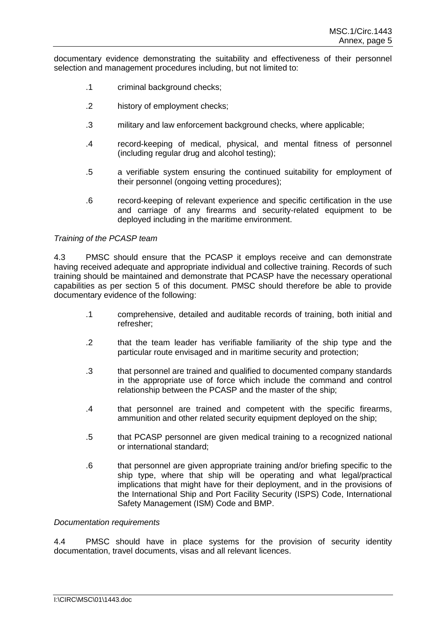documentary evidence demonstrating the suitability and effectiveness of their personnel selection and management procedures including, but not limited to:

- .1 criminal background checks;
- .2 history of employment checks;
- .3 military and law enforcement background checks, where applicable;
- .4 record-keeping of medical, physical, and mental fitness of personnel (including regular drug and alcohol testing);
- .5 a verifiable system ensuring the continued suitability for employment of their personnel (ongoing vetting procedures);
- .6 record-keeping of relevant experience and specific certification in the use and carriage of any firearms and security-related equipment to be deployed including in the maritime environment.

#### *Training of the PCASP team*

4.3 PMSC should ensure that the PCASP it employs receive and can demonstrate having received adequate and appropriate individual and collective training. Records of such training should be maintained and demonstrate that PCASP have the necessary operational capabilities as per section 5 of this document. PMSC should therefore be able to provide documentary evidence of the following:

- .1 comprehensive, detailed and auditable records of training, both initial and refresher;
- .2 that the team leader has verifiable familiarity of the ship type and the particular route envisaged and in maritime security and protection;
- .3 that personnel are trained and qualified to documented company standards in the appropriate use of force which include the command and control relationship between the PCASP and the master of the ship;
- .4 that personnel are trained and competent with the specific firearms, ammunition and other related security equipment deployed on the ship;
- .5 that PCASP personnel are given medical training to a recognized national or international standard;
- .6 that personnel are given appropriate training and/or briefing specific to the ship type, where that ship will be operating and what legal/practical implications that might have for their deployment, and in the provisions of the International Ship and Port Facility Security (ISPS) Code, International Safety Management (ISM) Code and BMP.

#### *Documentation requirements*

4.4 PMSC should have in place systems for the provision of security identity documentation, travel documents, visas and all relevant licences.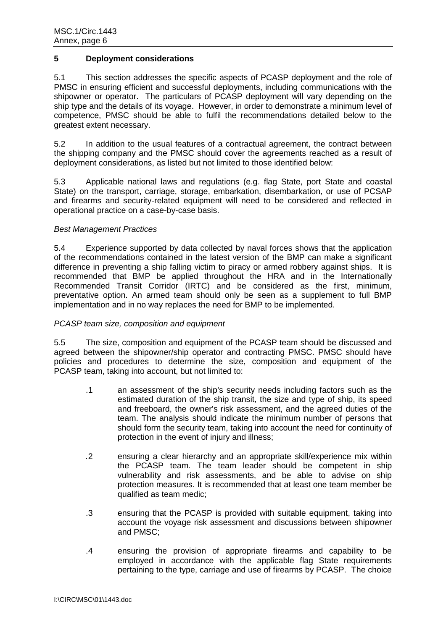### **5 Deployment considerations**

5.1 This section addresses the specific aspects of PCASP deployment and the role of PMSC in ensuring efficient and successful deployments, including communications with the shipowner or operator. The particulars of PCASP deployment will vary depending on the ship type and the details of its voyage. However, in order to demonstrate a minimum level of competence, PMSC should be able to fulfil the recommendations detailed below to the greatest extent necessary.

5.2 In addition to the usual features of a contractual agreement, the contract between the shipping company and the PMSC should cover the agreements reached as a result of deployment considerations, as listed but not limited to those identified below:

5.3 Applicable national laws and regulations (e.g. flag State, port State and coastal State) on the transport, carriage, storage, embarkation, disembarkation, or use of PCSAP and firearms and security-related equipment will need to be considered and reflected in operational practice on a case-by-case basis.

# *Best Management Practices*

5.4 Experience supported by data collected by naval forces shows that the application of the recommendations contained in the latest version of the BMP can make a significant difference in preventing a ship falling victim to piracy or armed robbery against ships. It is recommended that BMP be applied throughout the HRA and in the Internationally Recommended Transit Corridor (IRTC) and be considered as the first, minimum, preventative option. An armed team should only be seen as a supplement to full BMP implementation and in no way replaces the need for BMP to be implemented.

# *PCASP team size, composition and equipment*

5.5 The size, composition and equipment of the PCASP team should be discussed and agreed between the shipowner/ship operator and contracting PMSC. PMSC should have policies and procedures to determine the size, composition and equipment of the PCASP team, taking into account, but not limited to:

- .1 an assessment of the ship's security needs including factors such as the estimated duration of the ship transit, the size and type of ship, its speed and freeboard, the owner's risk assessment, and the agreed duties of the team. The analysis should indicate the minimum number of persons that should form the security team, taking into account the need for continuity of protection in the event of injury and illness;
- *.*2 ensuring a clear hierarchy and an appropriate skill/experience mix within the PCASP team. The team leader should be competent in ship vulnerability and risk assessments, and be able to advise on ship protection measures. It is recommended that at least one team member be qualified as team medic;
- .3 ensuring that the PCASP is provided with suitable equipment, taking into account the voyage risk assessment and discussions between shipowner and PMSC;
- .4 ensuring the provision of appropriate firearms and capability to be employed in accordance with the applicable flag State requirements pertaining to the type, carriage and use of firearms by PCASP. The choice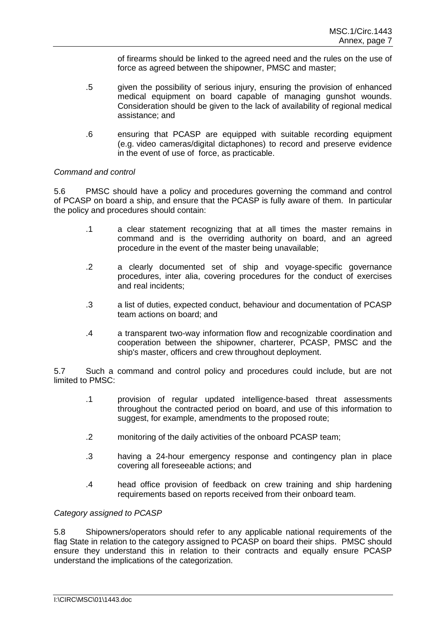of firearms should be linked to the agreed need and the rules on the use of force as agreed between the shipowner, PMSC and master;

- .5 given the possibility of serious injury, ensuring the provision of enhanced medical equipment on board capable of managing gunshot wounds. Consideration should be given to the lack of availability of regional medical assistance; and
- .6 ensuring that PCASP are equipped with suitable recording equipment (e.g. video cameras/digital dictaphones) to record and preserve evidence in the event of use of force, as practicable.

# *Command and control*

5.6 PMSC should have a policy and procedures governing the command and control of PCASP on board a ship, and ensure that the PCASP is fully aware of them. In particular the policy and procedures should contain:

- .1 a clear statement recognizing that at all times the master remains in command and is the overriding authority on board, and an agreed procedure in the event of the master being unavailable;
- .2 a clearly documented set of ship and voyage-specific governance procedures, inter alia, covering procedures for the conduct of exercises and real incidents;
- .3 a list of duties, expected conduct, behaviour and documentation of PCASP team actions on board; and
- .4 a transparent two-way information flow and recognizable coordination and cooperation between the shipowner, charterer, PCASP, PMSC and the ship's master, officers and crew throughout deployment.

5.7 Such a command and control policy and procedures could include, but are not limited to PMSC:

- .1 provision of regular updated intelligence-based threat assessments throughout the contracted period on board, and use of this information to suggest, for example, amendments to the proposed route;
- .2 monitoring of the daily activities of the onboard PCASP team;
- .3 having a 24-hour emergency response and contingency plan in place covering all foreseeable actions; and
- .4 head office provision of feedback on crew training and ship hardening requirements based on reports received from their onboard team.

#### *Category assigned to PCASP*

5.8 Shipowners/operators should refer to any applicable national requirements of the flag State in relation to the category assigned to PCASP on board their ships. PMSC should ensure they understand this in relation to their contracts and equally ensure PCASP understand the implications of the categorization.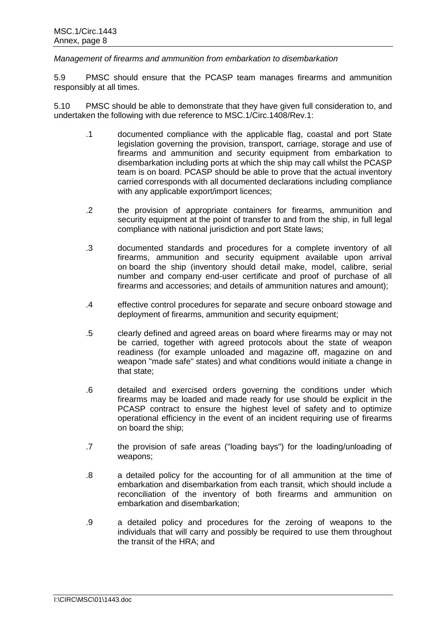*Management of firearms and ammunition from embarkation to disembarkation*

5.9 PMSC should ensure that the PCASP team manages firearms and ammunition responsibly at all times.

5.10 PMSC should be able to demonstrate that they have given full consideration to, and undertaken the following with due reference to MSC.1/Circ.1408/Rev.1:

- .1 documented compliance with the applicable flag, coastal and port State legislation governing the provision, transport, carriage, storage and use of firearms and ammunition and security equipment from embarkation to disembarkation including ports at which the ship may call whilst the PCASP team is on board. PCASP should be able to prove that the actual inventory carried corresponds with all documented declarations including compliance with any applicable export/import licences;
- .2 the provision of appropriate containers for firearms, ammunition and security equipment at the point of transfer to and from the ship, in full legal compliance with national jurisdiction and port State laws;
- .3 documented standards and procedures for a complete inventory of all firearms, ammunition and security equipment available upon arrival on board the ship (inventory should detail make, model, calibre, serial number and company end-user certificate and proof of purchase of all firearms and accessories; and details of ammunition natures and amount);
- .4 effective control procedures for separate and secure onboard stowage and deployment of firearms, ammunition and security equipment;
- .5 clearly defined and agreed areas on board where firearms may or may not be carried, together with agreed protocols about the state of weapon readiness (for example unloaded and magazine off, magazine on and weapon "made safe" states) and what conditions would initiate a change in that state;
- .6 detailed and exercised orders governing the conditions under which firearms may be loaded and made ready for use should be explicit in the PCASP contract to ensure the highest level of safety and to optimize operational efficiency in the event of an incident requiring use of firearms on board the ship;
- .7 the provision of safe areas ("loading bays") for the loading/unloading of weapons;
- .8 a detailed policy for the accounting for of all ammunition at the time of embarkation and disembarkation from each transit, which should include a reconciliation of the inventory of both firearms and ammunition on embarkation and disembarkation;
- .9 a detailed policy and procedures for the zeroing of weapons to the individuals that will carry and possibly be required to use them throughout the transit of the HRA; and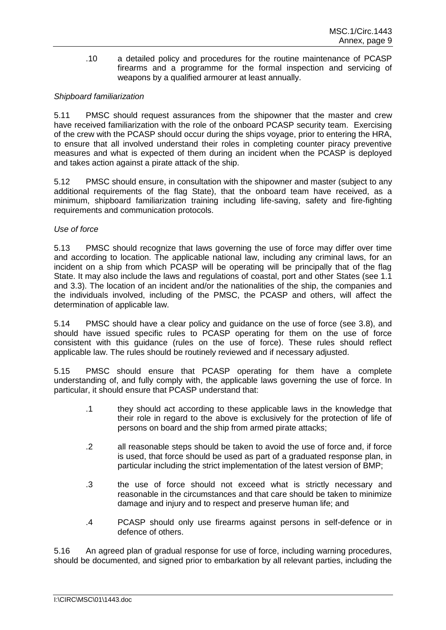.10 a detailed policy and procedures for the routine maintenance of PCASP firearms and a programme for the formal inspection and servicing of weapons by a qualified armourer at least annually.

# *Shipboard familiarization*

5.11 PMSC should request assurances from the shipowner that the master and crew have received familiarization with the role of the onboard PCASP security team. Exercising of the crew with the PCASP should occur during the ships voyage, prior to entering the HRA, to ensure that all involved understand their roles in completing counter piracy preventive measures and what is expected of them during an incident when the PCASP is deployed and takes action against a pirate attack of the ship.

5.12 PMSC should ensure, in consultation with the shipowner and master (subject to any additional requirements of the flag State), that the onboard team have received, as a minimum, shipboard familiarization training including life-saving, safety and fire-fighting requirements and communication protocols.

### *Use of force*

5.13 PMSC should recognize that laws governing the use of force may differ over time and according to location. The applicable national law, including any criminal laws, for an incident on a ship from which PCASP will be operating will be principally that of the flag State. It may also include the laws and regulations of coastal, port and other States (see 1.1 and 3.3). The location of an incident and/or the nationalities of the ship, the companies and the individuals involved, including of the PMSC, the PCASP and others, will affect the determination of applicable law.

5.14 PMSC should have a clear policy and guidance on the use of force (see 3.8), and should have issued specific rules to PCASP operating for them on the use of force consistent with this guidance (rules on the use of force). These rules should reflect applicable law. The rules should be routinely reviewed and if necessary adjusted.

5.15 PMSC should ensure that PCASP operating for them have a complete understanding of, and fully comply with, the applicable laws governing the use of force. In particular, it should ensure that PCASP understand that:

- .1 they should act according to these applicable laws in the knowledge that their role in regard to the above is exclusively for the protection of life of persons on board and the ship from armed pirate attacks;
- .2 all reasonable steps should be taken to avoid the use of force and, if force is used, that force should be used as part of a graduated response plan, in particular including the strict implementation of the latest version of BMP;
- .3 the use of force should not exceed what is strictly necessary and reasonable in the circumstances and that care should be taken to minimize damage and injury and to respect and preserve human life; and
- .4 PCASP should only use firearms against persons in self-defence or in defence of others.

5.16 An agreed plan of gradual response for use of force, including warning procedures, should be documented, and signed prior to embarkation by all relevant parties, including the